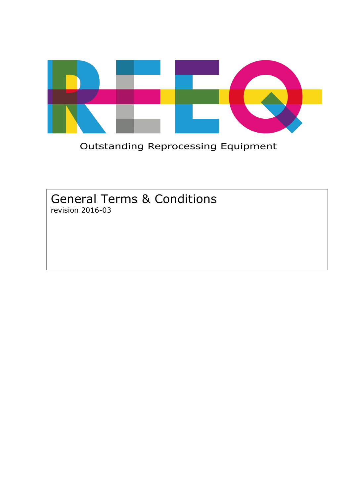

**Outstanding Reprocessing Equipment** 

General Terms & Conditions revision 2016-03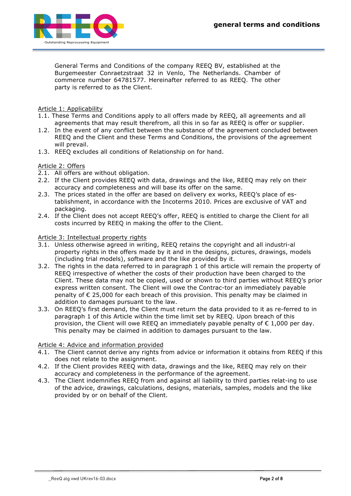

General Terms and Conditions of the company REEQ BV, established at the Burgemeester Conraetzstraat 32 in Venlo, The Netherlands. Chamber of commerce number 64781577. Hereinafter referred to as REEQ. The other party is referred to as the Client.

Article 1: Applicability

- 1.1. These Terms and Conditions apply to all offers made by REEQ, all agreements and all agreements that may result therefrom, all this in so far as REEQ is offer or supplier.
- 1.2. In the event of any conflict between the substance of the agreement concluded between REEQ and the Client and these Terms and Conditions, the provisions of the agreement will prevail.
- 1.3. REEQ excludes all conditions of Relationship on for hand.

# Article 2: Offers

- 2.1. All offers are without obligation.
- 2.2. If the Client provides REEQ with data, drawings and the like, REEQ may rely on their accuracy and completeness and will base its offer on the same.
- 2.3. The prices stated in the offer are based on delivery ex works, REEQ's place of establishment, in accordance with the Incoterms 2010. Prices are exclusive of VAT and packaging.
- 2.4. If the Client does not accept REEQ's offer, REEQ is entitled to charge the Client for all costs incurred by REEQ in making the offer to the Client.

#### Article 3: Intellectual property rights

- 3.1. Unless otherwise agreed in writing, REEQ retains the copyright and all industri-al property rights in the offers made by it and in the designs, pictures, drawings, models (including trial models), software and the like provided by it.
- 3.2. The rights in the data referred to in paragraph 1 of this article will remain the property of REEQ irrespective of whether the costs of their production have been charged to the Client. These data may not be copied, used or shown to third parties without REEQ's prior express written consent. The Client will owe the Contrac-tor an immediately payable penalty of € 25,000 for each breach of this provision. This penalty may be claimed in addition to damages pursuant to the law.
- 3.3. On REEQ's first demand, the Client must return the data provided to it as re-ferred to in paragraph 1 of this Article within the time limit set by REEQ. Upon breach of this provision, the Client will owe REEQ an immediately payable penalty of  $\epsilon$  1,000 per day. This penalty may be claimed in addition to damages pursuant to the law.

## Article 4: Advice and information provided

- 4.1. The Client cannot derive any rights from advice or information it obtains from REEQ if this does not relate to the assignment.
- 4.2. If the Client provides REEQ with data, drawings and the like, REEQ may rely on their accuracy and completeness in the performance of the agreement.
- 4.3. The Client indemnifies REEQ from and against all liability to third parties relat-ing to use of the advice, drawings, calculations, designs, materials, samples, models and the like provided by or on behalf of the Client.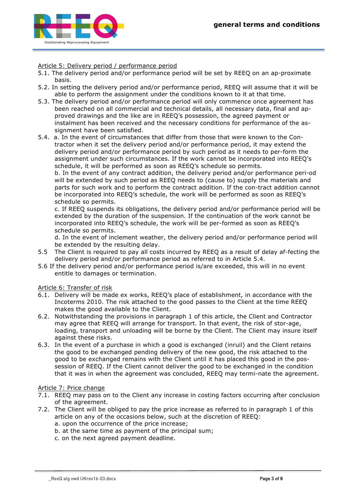

Article 5: Delivery period / performance period

- 5.1. The delivery period and/or performance period will be set by REEQ on an ap-proximate basis.
- 5.2. In setting the delivery period and/or performance period, REEQ will assume that it will be able to perform the assignment under the conditions known to it at that time.
- 5.3. The delivery period and/or performance period will only commence once agreement has been reached on all commercial and technical details, all necessary data, final and approved drawings and the like are in REEQ's possession, the agreed payment or instalment has been received and the necessary conditions for performance of the assignment have been satisfied.
- 5.4. a. In the event of circumstances that differ from those that were known to the Contractor when it set the delivery period and/or performance period, it may extend the delivery period and/or performance period by such period as it needs to per-form the assignment under such circumstances. If the work cannot be incorporated into REEQ's schedule, it will be performed as soon as REEQ's schedule so permits.

b. In the event of any contract addition, the delivery period and/or performance peri-od will be extended by such period as REEQ needs to (cause to) supply the materials and parts for such work and to perform the contract addition. If the con-tract addition cannot be incorporated into REEQ's schedule, the work will be performed as soon as REEQ's schedule so permits.

c. If REEQ suspends its obligations, the delivery period and/or performance period will be extended by the duration of the suspension. If the continuation of the work cannot be incorporated into REEQ's schedule, the work will be per-formed as soon as REEQ's schedule so permits.

d. In the event of inclement weather, the delivery period and/or performance period will be extended by the resulting delay.

- 5.5 The Client is required to pay all costs incurred by REEQ as a result of delay af-fecting the delivery period and/or performance period as referred to in Article 5.4.
- 5.6 If the delivery period and/or performance period is/are exceeded, this will in no event entitle to damages or termination.

Article 6: Transfer of risk

- 6.1. Delivery will be made ex works, REEQ's place of establishment, in accordance with the Incoterms 2010. The risk attached to the good passes to the Client at the time REEQ makes the good available to the Client.
- 6.2. Notwithstanding the provisions in paragraph 1 of this article, the Client and Contractor may agree that REEQ will arrange for transport. In that event, the risk of stor-age, loading, transport and unloading will be borne by the Client. The Client may insure itself against these risks.
- 6.3. In the event of a purchase in which a good is exchanged (inruil) and the Client retains the good to be exchanged pending delivery of the new good, the risk attached to the good to be exchanged remains with the Client until it has placed this good in the possession of REEQ. If the Client cannot deliver the good to be exchanged in the condition that it was in when the agreement was concluded, REEQ may termi-nate the agreement.

## Article 7: Price change

- 7.1. REEQ may pass on to the Client any increase in costing factors occurring after conclusion of the agreement.
- 7.2. The Client will be obliged to pay the price increase as referred to in paragraph 1 of this article on any of the occasions below, such at the discretion of REEQ:
	- a. upon the occurrence of the price increase;
	- b. at the same time as payment of the principal sum;
	- c. on the next agreed payment deadline.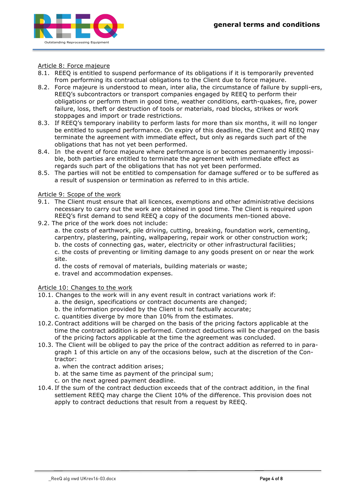

#### Article 8: Force majeure

- 8.1. REEQ is entitled to suspend performance of its obligations if it is temporarily prevented from performing its contractual obligations to the Client due to force majeure.
- 8.2. Force majeure is understood to mean, inter alia, the circumstance of failure by suppli-ers, REEQ's subcontractors or transport companies engaged by REEQ to perform their obligations or perform them in good time, weather conditions, earth-quakes, fire, power failure, loss, theft or destruction of tools or materials, road blocks, strikes or work stoppages and import or trade restrictions.
- 8.3. If REEQ's temporary inability to perform lasts for more than six months, it will no longer be entitled to suspend performance. On expiry of this deadline, the Client and REEQ may terminate the agreement with immediate effect, but only as regards such part of the obligations that has not yet been performed.
- 8.4. In the event of force majeure where performance is or becomes permanently impossible, both parties are entitled to terminate the agreement with immediate effect as regards such part of the obligations that has not yet been performed.
- 8.5. The parties will not be entitled to compensation for damage suffered or to be suffered as a result of suspension or termination as referred to in this article.

#### Article 9: Scope of the work

- 9.1. The Client must ensure that all licences, exemptions and other administrative decisions necessary to carry out the work are obtained in good time. The Client is required upon REEQ's first demand to send REEQ a copy of the documents men-tioned above.
- 9.2. The price of the work does not include:

a. the costs of earthwork, pile driving, cutting, breaking, foundation work, cementing, carpentry, plastering, painting, wallpapering, repair work or other construction work; b. the costs of connecting gas, water, electricity or other infrastructural facilities; c. the costs of preventing or limiting damage to any goods present on or near the work site.

- d. the costs of removal of materials, building materials or waste;
- e. travel and accommodation expenses.

#### Article 10: Changes to the work

- 10.1. Changes to the work will in any event result in contract variations work if:
	- a. the design, specifications or contract documents are changed;
	- b. the information provided by the Client is not factually accurate;
	- c. quantities diverge by more than 10% from the estimates.
- 10.2. Contract additions will be charged on the basis of the pricing factors applicable at the time the contract addition is performed. Contract deductions will be charged on the basis of the pricing factors applicable at the time the agreement was concluded.
- 10.3. The Client will be obliged to pay the price of the contract addition as referred to in paragraph 1 of this article on any of the occasions below, such at the discretion of the Contractor:
	- a. when the contract addition arises;
	- b. at the same time as payment of the principal sum;
	- c. on the next agreed payment deadline.
- 10.4. If the sum of the contract deduction exceeds that of the contract addition, in the final settlement REEQ may charge the Client 10% of the difference. This provision does not apply to contract deductions that result from a request by REEQ.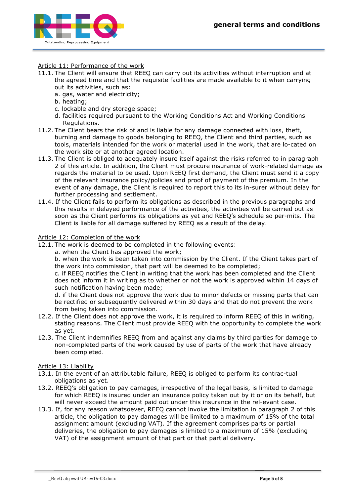

## Article 11: Performance of the work

- 11.1. The Client will ensure that REEQ can carry out its activities without interruption and at the agreed time and that the requisite facilities are made available to it when carrying out its activities, such as:
	- a. gas, water and electricity;
	- b. heating;
	- c. lockable and dry storage space;
	- d. facilities required pursuant to the Working Conditions Act and Working Conditions Regulations.
- 11.2. The Client bears the risk of and is liable for any damage connected with loss, theft, burning and damage to goods belonging to REEQ, the Client and third parties, such as tools, materials intended for the work or material used in the work, that are lo-cated on the work site or at another agreed location.
- 11.3. The Client is obliged to adequately insure itself against the risks referred to in paragraph 2 of this article. In addition, the Client must procure insurance of work-related damage as regards the material to be used. Upon REEQ first demand, the Client must send it a copy of the relevant insurance policy/policies and proof of payment of the premium. In the event of any damage, the Client is required to report this to its in-surer without delay for further processing and settlement.
- 11.4. If the Client fails to perform its obligations as described in the previous paragraphs and this results in delayed performance of the activities, the activities will be carried out as soon as the Client performs its obligations as yet and REEQ's schedule so per-mits. The Client is liable for all damage suffered by REEQ as a result of the delay.

#### Article 12: Completion of the work

12.1. The work is deemed to be completed in the following events:

a. when the Client has approved the work;

b. when the work is been taken into commission by the Client. If the Client takes part of the work into commission, that part will be deemed to be completed;

c. if REEQ notifies the Client in writing that the work has been completed and the Client does not inform it in writing as to whether or not the work is approved within 14 days of such notification having been made;

d. if the Client does not approve the work due to minor defects or missing parts that can be rectified or subsequently delivered within 30 days and that do not prevent the work from being taken into commission.

- 12.2. If the Client does not approve the work, it is required to inform REEQ of this in writing, stating reasons. The Client must provide REEQ with the opportunity to complete the work as yet.
- 12.3. The Client indemnifies REEQ from and against any claims by third parties for damage to non-completed parts of the work caused by use of parts of the work that have already been completed.

## Article 13: Liability

- 13.1. In the event of an attributable failure, REEQ is obliged to perform its contrac-tual obligations as yet.
- 13.2. REEQ's obligation to pay damages, irrespective of the legal basis, is limited to damage for which REEQ is insured under an insurance policy taken out by it or on its behalf, but will never exceed the amount paid out under this insurance in the rel-evant case.
- 13.3. If, for any reason whatsoever, REEQ cannot invoke the limitation in paragraph 2 of this article, the obligation to pay damages will be limited to a maximum of 15% of the total assignment amount (excluding VAT). If the agreement comprises parts or partial deliveries, the obligation to pay damages is limited to a maximum of 15% (excluding VAT) of the assignment amount of that part or that partial delivery.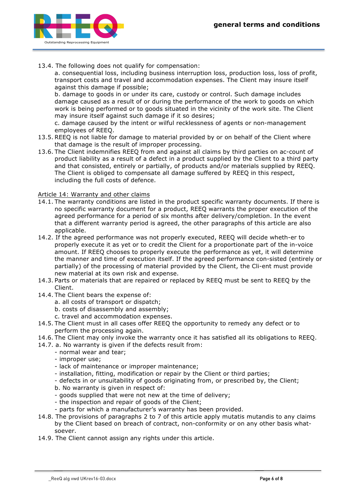

13.4. The following does not qualify for compensation:

a. consequential loss, including business interruption loss, production loss, loss of profit, transport costs and travel and accommodation expenses. The Client may insure itself against this damage if possible;

b. damage to goods in or under its care, custody or control. Such damage includes damage caused as a result of or during the performance of the work to goods on which work is being performed or to goods situated in the vicinity of the work site. The Client may insure itself against such damage if it so desires;

c. damage caused by the intent or wilful recklessness of agents or non-management employees of REEQ.

- 13.5. REEQ is not liable for damage to material provided by or on behalf of the Client where that damage is the result of improper processing.
- 13.6. The Client indemnifies REEQ from and against all claims by third parties on ac-count of product liability as a result of a defect in a product supplied by the Client to a third party and that consisted, entirely or partially, of products and/or materials supplied by REEQ. The Client is obliged to compensate all damage suffered by REEQ in this respect, including the full costs of defence.

## Article 14: Warranty and other claims

- 14.1. The warranty conditions are listed in the product specific warranty documents. If there is no specific warranty document for a product, REEQ warrants the proper execution of the agreed performance for a period of six months after delivery/completion. In the event that a different warranty period is agreed, the other paragraphs of this article are also applicable.
- 14.2. If the agreed performance was not properly executed, REEQ will decide wheth-er to properly execute it as yet or to credit the Client for a proportionate part of the in-voice amount. If REEQ chooses to properly execute the performance as yet, it will determine the manner and time of execution itself. If the agreed performance con-sisted (entirely or partially) of the processing of material provided by the Client, the Cli-ent must provide new material at its own risk and expense.
- 14.3. Parts or materials that are repaired or replaced by REEQ must be sent to REEQ by the Client.
- 14.4. The Client bears the expense of:
	- a. all costs of transport or dispatch;
	- b. costs of disassembly and assembly;
	- c. travel and accommodation expenses.
- 14.5. The Client must in all cases offer REEQ the opportunity to remedy any defect or to perform the processing again.
- 14.6. The Client may only invoke the warranty once it has satisfied all its obligations to REEQ.
- 14.7. a. No warranty is given if the defects result from:
	- normal wear and tear;
	- improper use;
	- lack of maintenance or improper maintenance;
	- installation, fitting, modification or repair by the Client or third parties;
	- defects in or unsuitability of goods originating from, or prescribed by, the Client;
	- b. No warranty is given in respect of:
	- goods supplied that were not new at the time of delivery;
	- the inspection and repair of goods of the Client;
	- parts for which a manufacturer's warranty has been provided.
- 14.8. The provisions of paragraphs 2 to 7 of this article apply mutatis mutandis to any claims by the Client based on breach of contract, non-conformity or on any other basis whatsoever.
- 14.9. The Client cannot assign any rights under this article.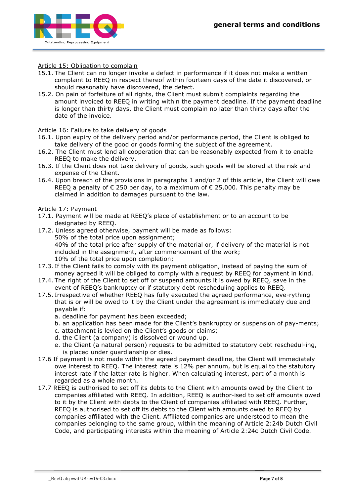

## Article 15: Obligation to complain

- 15.1. The Client can no longer invoke a defect in performance if it does not make a written complaint to REEQ in respect thereof within fourteen days of the date it discovered, or should reasonably have discovered, the defect.
- 15.2. On pain of forfeiture of all rights, the Client must submit complaints regarding the amount invoiced to REEQ in writing within the payment deadline. If the payment deadline is longer than thirty days, the Client must complain no later than thirty days after the date of the invoice.

#### Article 16: Failure to take delivery of goods

- 16.1. Upon expiry of the delivery period and/or performance period, the Client is obliged to take delivery of the good or goods forming the subject of the agreement.
- 16.2. The Client must lend all cooperation that can be reasonably expected from it to enable REEQ to make the delivery.
- 16.3. If the Client does not take delivery of goods, such goods will be stored at the risk and expense of the Client.
- 16.4. Upon breach of the provisions in paragraphs 1 and/or 2 of this article, the Client will owe REEQ a penalty of  $\epsilon$  250 per day, to a maximum of  $\epsilon$  25,000. This penalty may be claimed in addition to damages pursuant to the law.

#### Article 17: Payment

- 17.1. Payment will be made at REEQ's place of establishment or to an account to be designated by REEQ.
- 17.2. Unless agreed otherwise, payment will be made as follows: 50% of the total price upon assignment; 40% of the total price after supply of the material or, if delivery of the material is not included in the assignment, after commencement of the work; 10% of the total price upon completion;
- 17.3. If the Client fails to comply with its payment obligation, instead of paying the sum of money agreed it will be obliged to comply with a request by REEQ for payment in kind.
- 17.4. The right of the Client to set off or suspend amounts it is owed by REEQ, save in the event of REEQ's bankruptcy or if statutory debt rescheduling applies to REEQ.
- 17.5. Irrespective of whether REEQ has fully executed the agreed performance, eve-rything that is or will be owed to it by the Client under the agreement is immediately due and payable if:
	- a. deadline for payment has been exceeded;
	- b. an application has been made for the Client's bankruptcy or suspension of pay-ments;
	- c. attachment is levied on the Client's goods or claims;
	- d. the Client (a company) is dissolved or wound up.
	- e. the Client (a natural person) requests to be admitted to statutory debt reschedul-ing, is placed under guardianship or dies.
- 17.6 If payment is not made within the agreed payment deadline, the Client will immediately owe interest to REEQ. The interest rate is 12% per annum, but is equal to the statutory interest rate if the latter rate is higher. When calculating interest, part of a month is regarded as a whole month.
- 17.7 REEQ is authorised to set off its debts to the Client with amounts owed by the Client to companies affiliated with REEQ. In addition, REEQ is author-ised to set off amounts owed to it by the Client with debts to the Client of companies affiliated with REEQ. Further, REEQ is authorised to set off its debts to the Client with amounts owed to REEQ by companies affiliated with the Client. Affiliated companies are understood to mean the companies belonging to the same group, within the meaning of Article 2:24b Dutch Civil Code, and participating interests within the meaning of Article 2:24c Dutch Civil Code.